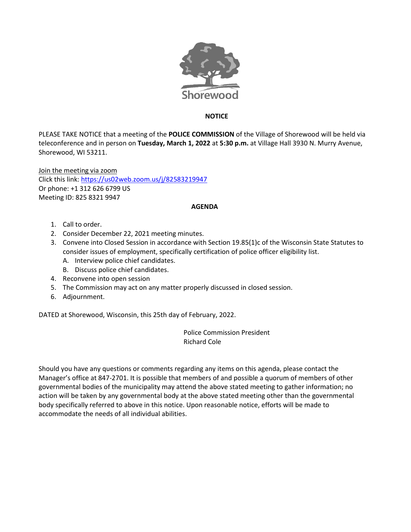

## **NOTICE**

PLEASE TAKE NOTICE that a meeting of the **POLICE COMMISSION** of the Village of Shorewood will be held via teleconference and in person on **Tuesday, March 1, 2022** at **5:30 p.m.** at Village Hall 3930 N. Murry Avenue, Shorewood, WI 53211.

Join the meeting via zoom Click this link[: https://us02web.zoom.us/j/82583219947](https://us02web.zoom.us/j/82583219947) Or phone: +1 312 626 6799 US Meeting ID: 825 8321 9947

## **AGENDA**

- 1. Call to order.
- 2. Consider December 22, 2021 meeting minutes.
- 3. [Convene into Closed Session in accordance with Section 19.85\(1\)c of the Wisconsin State Statutes to](http://meetings.cityofmiddleton.us/Meetings/ViewMeeting?id=3610&doctype=1)  consider issues [of employment, specifically certification of police officer eligibility list.](http://meetings.cityofmiddleton.us/Meetings/ViewMeeting?id=3610&doctype=1)
	- A. Interview police chief candidates.
	- B. Discuss police chief candidates.
- 4. Reconvene into open session
- 5. The Commission may act on any matter properly discussed in closed session.
- 6. Adjournment.

DATED at Shorewood, Wisconsin, this 25th day of February, 2022.

Police Commission President Richard Cole

Should you have any questions or comments regarding any items on this agenda, please contact the Manager's office at 847-2701. It is possible that members of and possible a quorum of members of other governmental bodies of the municipality may attend the above stated meeting to gather information; no action will be taken by any governmental body at the above stated meeting other than the governmental body specifically referred to above in this notice. Upon reasonable notice, efforts will be made to accommodate the needs of all individual abilities.